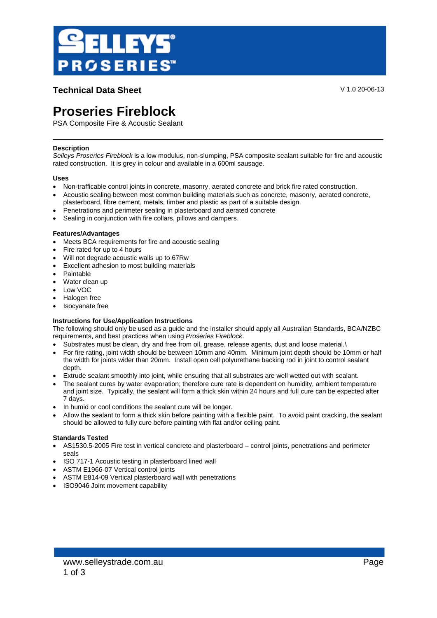

**Technical Data Sheet** V 1.0 20-06-13

# **Proseries Fireblock**

PSA Composite Fire & Acoustic Sealant

# **Description**

*Selleys Proseries Fireblock* is a low modulus, non-slumping, PSA composite sealant suitable for fire and acoustic rated construction. It is grey in colour and available in a 600ml sausage.

## **Uses**

- Non-trafficable control joints in concrete, masonry, aerated concrete and brick fire rated construction.
- Acoustic sealing between most common building materials such as concrete, masonry, aerated concrete, plasterboard, fibre cement, metals, timber and plastic as part of a suitable design.
- Penetrations and perimeter sealing in plasterboard and aerated concrete
- Sealing in conjunction with fire collars, pillows and dampers.

## **Features/Advantages**

- Meets BCA requirements for fire and acoustic sealing
- Fire rated for up to 4 hours
- Will not degrade acoustic walls up to 67Rw
- Excellent adhesion to most building materials
- Paintable
- Water clean up
- Low VOC
- Halogen free
- Isocyanate free

## **Instructions for Use/Application Instructions**

The following should only be used as a guide and the installer should apply all Australian Standards, BCA/NZBC requirements, and best practices when using *Proseries Fireblock*.

- Substrates must be clean, dry and free from oil, grease, release agents, dust and loose material.\
- For fire rating, joint width should be between 10mm and 40mm. Minimum joint depth should be 10mm or half the width for joints wider than 20mm. Install open cell polyurethane backing rod in joint to control sealant depth.
- Extrude sealant smoothly into joint, while ensuring that all substrates are well wetted out with sealant.
- The sealant cures by water evaporation; therefore cure rate is dependent on humidity, ambient temperature and joint size. Typically, the sealant will form a thick skin within 24 hours and full cure can be expected after 7 days.
- In humid or cool conditions the sealant cure will be longer.
- Allow the sealant to form a thick skin before painting with a flexible paint. To avoid paint cracking, the sealant should be allowed to fully cure before painting with flat and/or ceiling paint.

## **Standards Tested**

- AS1530.5-2005 Fire test in vertical concrete and plasterboard control joints, penetrations and perimeter seals
- ISO 717-1 Acoustic testing in plasterboard lined wall
- ASTM E1966-07 Vertical control joints
- ASTM E814-09 Vertical plasterboard wall with penetrations
- ISO9046 Joint movement capability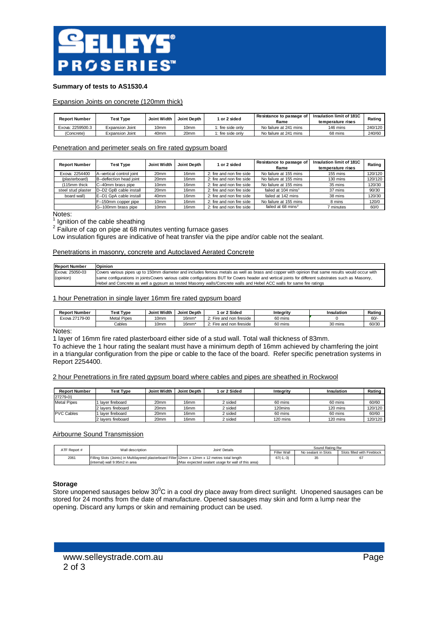

## **Summary of tests to AS1530.4**

## Expansion Joints on concrete (120mm thick)

| <b>Report Number</b> | Test Type              | Joint Width      | Joint Depth | or 2 sided        | Resistance to passage of<br>flame | Insulation limit of 181C<br>temperature rises | Rating  |
|----------------------|------------------------|------------------|-------------|-------------------|-----------------------------------|-----------------------------------------------|---------|
| Exova: 2259500.3     | Expansion Joint        | 10 <sub>mm</sub> | 10mm        | 1: fire side onlv | No failure at 241 mins            | 146 mins                                      | 240/120 |
| (Concrete)           | <b>Expansion Joint</b> | 40 <sub>mm</sub> | 20mm        | 1: fire side onlv | No failure at 241 mins            | 68 mins                                       | 240/60  |

## Penetration and perimeter seals on fire rated gypsum board

| <b>Report Number</b> | <b>Test Type</b>          | Joint Width      | <b>Joint Depth</b> | 1 or 2 sided              | Resistance to passage of<br>flame | Insulation limit of 181C<br>temperature rises | Rating  |
|----------------------|---------------------------|------------------|--------------------|---------------------------|-----------------------------------|-----------------------------------------------|---------|
| Exova: 2254400       | A--vertical control joint | 20mm             | 16 <sub>mm</sub>   | 2: fire and non fire side | No failure at 155 mins            | 155 mins                                      | 120/120 |
| (plasterboard)       | B--deflection head joint  | 20mm             | 16 <sub>mm</sub>   | 2: fire and non fire side | No failure at 155 mins            | 130 mins                                      | 120/120 |
| (115mm thick         | C--40mm brass pipe        | 10 <sub>mm</sub> | 16 <sub>mm</sub>   | 2: fire and non fire side | No failure at 155 mins            | 35 mins                                       | 120/30  |
| steel stud plaster   | D--D2 GpB cable install   | 20mm             | 16 <sub>mm</sub>   | 2: fire and non fire side | failed at 104 mins <sup>1</sup>   | 37 mins                                       | 90/30   |
| board wall)          | E--D1 GpA cable install   | 40 <sub>mm</sub> | 16 <sub>mm</sub>   | 2: fire and non fire side | failed at 142 mins                | 38 mins                                       | 120/30  |
|                      | F--150mm copper pipe      | 10 <sub>mm</sub> | 16 <sub>mm</sub>   | 2: fire and non fire side | No failure at 155 mins            | 8 mins                                        | 120/0   |
|                      | G--100mm brass pipe       | 10 <sub>mm</sub> | 16 <sub>mm</sub>   | 2: fire and non fire side | failed at 68 mins <sup>2</sup>    | minutes                                       | 60/0    |

Notes:

1 Ignition of the cable sheathing

 $2$  Failure of cap on pipe at 68 minutes venting furnace gases

Low insulation figures are indicative of heat transfer via the pipe and/or cable not the sealant.

## Penetrations in masonry, concrete and Autoclaved Aerated Concrete

| <b>Report Number</b> | <b>Opinion</b>                                                                                                                                        |
|----------------------|-------------------------------------------------------------------------------------------------------------------------------------------------------|
| Exova: 25050-03      | Covers various pipes up to 150mm diameter and includes ferrous metals as well as brass and copper with opinion that same results would occur with     |
| (opinion)            | same configurations in joints Covers various cable configurations BUT for Covers header and vertical joints for different substrates such as Masonry, |
|                      | Hebel and Concrete as well a gypsum as tested Masonry walls/Concrete walls and Hebel ACC walls for same fire ratings                                  |

#### 1 hour Penetration in single layer 16mm fire rated gypsum board

| <b>Report Number</b> | <b>Test Type</b>   | Joint Width      | Joint Depth       | l or 2 Sided          | Integrity | Insulation | Rating |
|----------------------|--------------------|------------------|-------------------|-----------------------|-----------|------------|--------|
| 27179-00<br>Exova 27 | <b>Metal Pipes</b> | 10mm             | 16mm <sup>*</sup> | Fire and non fireside | 60 mins   |            | 60/    |
|                      | Cables             | 10 <sub>mm</sub> | 16mm <sup>*</sup> | Fire and non fireside | 60 mins   | 30 mins    | 60/30  |

## Notes:

1 layer of 16mm fire rated plasterboard either side of a stud wall. Total wall thickness of 83mm.

To achieve the 1 hour rating the sealant must have a minimum depth of 16mm achieved by chamfering the joint in a triangular configuration from the pipe or cable to the face of the board. Refer specific penetration systems in Report 2254400.

2 hour Penetrations in fire rated gypsum board where cables and pipes are sheathed in Rockwool

| <b>Report Number</b> | <b>Test Type</b>   | Joint Width | Joint Depth | 1 or 2 Sided | Integrity | Insulation | Rating  |
|----------------------|--------------------|-------------|-------------|--------------|-----------|------------|---------|
| 27279-01             |                    |             |             |              |           |            |         |
| <b>Metal Pipes</b>   | laver fireboard    | 20mm        | 16mm        | 2 sided      | 60 mins   | 60 mins    | 60/60   |
|                      | 2 lavers fireboard | 20mm        | 16mm        | 2 sided      | 120mins   | 120 mins   | 120/120 |
| <b>PVC Cables</b>    | laver fireboard    | 20mm        | 16mm        | 2 sided      | 60 mins   | 60 mins    | 60/60   |
|                      | 2 lavers fireboard | 20mm        | 16mm        | 2 sided      | 120 mins  | 120 mins   | 120/120 |

## Airbourne Sound Transmission

| ATF Report # | Wall description                                                                                | Joint' Details                                     | Sound Rating Rw    |                     |                             |
|--------------|-------------------------------------------------------------------------------------------------|----------------------------------------------------|--------------------|---------------------|-----------------------------|
|              |                                                                                                 |                                                    | <b>Filler Wall</b> | No sealant in Slots | Slots filled with Fireblock |
| 2061         | Filling Slots (Joints) in Multilavered plasterboard Filler 12mm x 12mm x 12 metres total length |                                                    | $67(-1,-3)$        |                     |                             |
|              | (internal) wall 9.95m2 in area                                                                  | (Max expected sealant usage for wall of this area) |                    |                     |                             |

#### **Storage**

Store unopened sausages below  $30^{\circ}$ C in a cool dry place away from direct sunlight. Unopened sausages can be stored for 24 months from the date of manufacture. Opened sausages may skin and form a lump near the opening. Discard any lumps or skin and remaining product can be used.